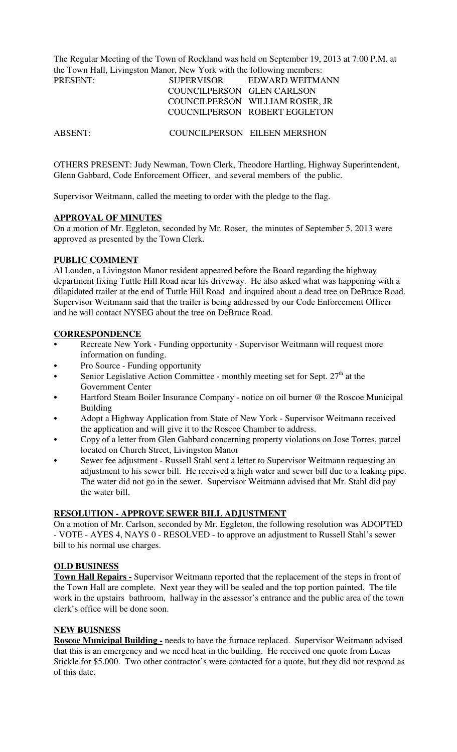The Regular Meeting of the Town of Rockland was held on September 19, 2013 at 7:00 P.M. at the Town Hall, Livingston Manor, New York with the following members:

| PRESENT: | <b>SUPERVISOR</b>          | EDWARD WEITMANN                 |
|----------|----------------------------|---------------------------------|
|          | COUNCILPERSON GLEN CARLSON |                                 |
|          |                            | COUNCILPERSON WILLIAM ROSER, JR |
|          |                            | COUCNILPERSON ROBERT EGGLETON   |

ABSENT: COUNCILPERSON EILEEN MERSHON

OTHERS PRESENT: Judy Newman, Town Clerk, Theodore Hartling, Highway Superintendent, Glenn Gabbard, Code Enforcement Officer, and several members of the public.

Supervisor Weitmann, called the meeting to order with the pledge to the flag.

#### **APPROVAL OF MINUTES**

On a motion of Mr. Eggleton, seconded by Mr. Roser, the minutes of September 5, 2013 were approved as presented by the Town Clerk.

#### **PUBLIC COMMENT**

Al Louden, a Livingston Manor resident appeared before the Board regarding the highway department fixing Tuttle Hill Road near his driveway. He also asked what was happening with a dilapidated trailer at the end of Tuttle Hill Road and inquired about a dead tree on DeBruce Road. Supervisor Weitmann said that the trailer is being addressed by our Code Enforcement Officer and he will contact NYSEG about the tree on DeBruce Road.

### **CORRESPONDENCE**

- Recreate New York Funding opportunity Supervisor Weitmann will request more information on funding.
- Pro Source Funding opportunity
- Senior Legislative Action Committee monthly meeting set for Sept.  $27<sup>th</sup>$  at the Government Center
- Hartford Steam Boiler Insurance Company notice on oil burner @ the Roscoe Municipal Building
- Adopt a Highway Application from State of New York Supervisor Weitmann received the application and will give it to the Roscoe Chamber to address.
- Copy of a letter from Glen Gabbard concerning property violations on Jose Torres, parcel located on Church Street, Livingston Manor
- Sewer fee adjustment Russell Stahl sent a letter to Supervisor Weitmann requesting an adjustment to his sewer bill. He received a high water and sewer bill due to a leaking pipe. The water did not go in the sewer. Supervisor Weitmann advised that Mr. Stahl did pay the water bill.

### **RESOLUTION - APPROVE SEWER BILL ADJUSTMENT**

On a motion of Mr. Carlson, seconded by Mr. Eggleton, the following resolution was ADOPTED - VOTE - AYES 4, NAYS 0 - RESOLVED - to approve an adjustment to Russell Stahl's sewer bill to his normal use charges.

### **OLD BUSINESS**

**Town Hall Repairs -** Supervisor Weitmann reported that the replacement of the steps in front of the Town Hall are complete. Next year they will be sealed and the top portion painted. The tile work in the upstairs bathroom, hallway in the assessor's entrance and the public area of the town clerk's office will be done soon.

#### **NEW BUISNESS**

**Roscoe Municipal Building -** needs to have the furnace replaced. Supervisor Weitmann advised that this is an emergency and we need heat in the building. He received one quote from Lucas Stickle for \$5,000. Two other contractor's were contacted for a quote, but they did not respond as of this date.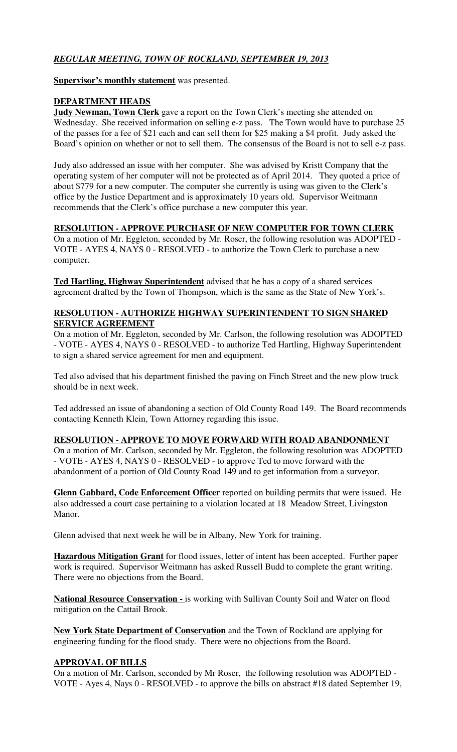# *REGULAR MEETING, TOWN OF ROCKLAND, SEPTEMBER 19, 2013*

**Supervisor's monthly statement** was presented.

### **DEPARTMENT HEADS**

**Judy Newman, Town Clerk** gave a report on the Town Clerk's meeting she attended on Wednesday. She received information on selling e-z pass. The Town would have to purchase 25 of the passes for a fee of \$21 each and can sell them for \$25 making a \$4 profit. Judy asked the Board's opinion on whether or not to sell them. The consensus of the Board is not to sell e-z pass.

Judy also addressed an issue with her computer. She was advised by Kristt Company that the operating system of her computer will not be protected as of April 2014. They quoted a price of about \$779 for a new computer. The computer she currently is using was given to the Clerk's office by the Justice Department and is approximately 10 years old. Supervisor Weitmann recommends that the Clerk's office purchase a new computer this year.

### **RESOLUTION - APPROVE PURCHASE OF NEW COMPUTER FOR TOWN CLERK**

On a motion of Mr. Eggleton, seconded by Mr. Roser, the following resolution was ADOPTED - VOTE - AYES 4, NAYS 0 - RESOLVED - to authorize the Town Clerk to purchase a new computer.

**Ted Hartling, Highway Superintendent** advised that he has a copy of a shared services agreement drafted by the Town of Thompson, which is the same as the State of New York's.

## **RESOLUTION - AUTHORIZE HIGHWAY SUPERINTENDENT TO SIGN SHARED SERVICE AGREEMENT**

On a motion of Mr. Eggleton, seconded by Mr. Carlson, the following resolution was ADOPTED - VOTE - AYES 4, NAYS 0 - RESOLVED - to authorize Ted Hartling, Highway Superintendent to sign a shared service agreement for men and equipment.

Ted also advised that his department finished the paving on Finch Street and the new plow truck should be in next week.

Ted addressed an issue of abandoning a section of Old County Road 149. The Board recommends contacting Kenneth Klein, Town Attorney regarding this issue.

## **RESOLUTION - APPROVE TO MOVE FORWARD WITH ROAD ABANDONMENT**

On a motion of Mr. Carlson, seconded by Mr. Eggleton, the following resolution was ADOPTED - VOTE - AYES 4, NAYS 0 - RESOLVED - to approve Ted to move forward with the abandonment of a portion of Old County Road 149 and to get information from a surveyor.

**Glenn Gabbard, Code Enforcement Officer** reported on building permits that were issued. He also addressed a court case pertaining to a violation located at 18 Meadow Street, Livingston Manor.

Glenn advised that next week he will be in Albany, New York for training.

**Hazardous Mitigation Grant** for flood issues, letter of intent has been accepted. Further paper work is required. Supervisor Weitmann has asked Russell Budd to complete the grant writing. There were no objections from the Board.

**National Resource Conservation -** is working with Sullivan County Soil and Water on flood mitigation on the Cattail Brook.

**New York State Department of Conservation** and the Town of Rockland are applying for engineering funding for the flood study. There were no objections from the Board.

### **APPROVAL OF BILLS**

On a motion of Mr. Carlson, seconded by Mr Roser, the following resolution was ADOPTED - VOTE - Ayes 4, Nays 0 - RESOLVED - to approve the bills on abstract #18 dated September 19,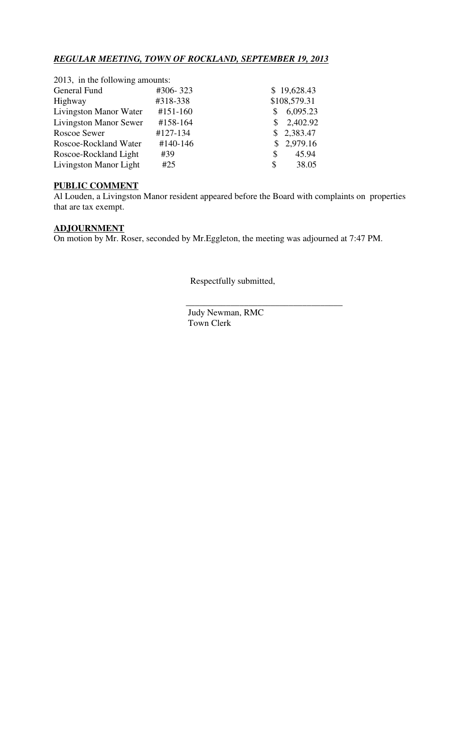# *REGULAR MEETING, TOWN OF ROCKLAND, SEPTEMBER 19, 2013*

| 2013, in the following amounts: |            |    |              |
|---------------------------------|------------|----|--------------|
| General Fund                    | #306-323   |    | \$19,628.43  |
| Highway                         | #318-338   |    | \$108,579.31 |
| Livingston Manor Water          | $#151-160$ |    | 6,095.23     |
| <b>Livingston Manor Sewer</b>   | #158-164   | S. | 2,402.92     |
| Roscoe Sewer                    | #127-134   |    | \$2,383.47   |
| Roscoe-Rockland Water           | #140-146   |    | \$2,979.16   |
| Roscoe-Rockland Light           | #39        | S  | 45.94        |
| Livingston Manor Light          | #25        | \$ | 38.05        |
|                                 |            |    |              |

### **PUBLIC COMMENT**

Al Louden, a Livingston Manor resident appeared before the Board with complaints on properties that are tax exempt.

# **ADJOURNMENT**

On motion by Mr. Roser, seconded by Mr.Eggleton, the meeting was adjourned at 7:47 PM.

Respectfully submitted,

 Judy Newman, RMC Town Clerk

 $\frac{1}{\sqrt{2}}$  ,  $\frac{1}{\sqrt{2}}$  ,  $\frac{1}{\sqrt{2}}$  ,  $\frac{1}{\sqrt{2}}$  ,  $\frac{1}{\sqrt{2}}$  ,  $\frac{1}{\sqrt{2}}$  ,  $\frac{1}{\sqrt{2}}$  ,  $\frac{1}{\sqrt{2}}$  ,  $\frac{1}{\sqrt{2}}$  ,  $\frac{1}{\sqrt{2}}$  ,  $\frac{1}{\sqrt{2}}$  ,  $\frac{1}{\sqrt{2}}$  ,  $\frac{1}{\sqrt{2}}$  ,  $\frac{1}{\sqrt{2}}$  ,  $\frac{1}{\sqrt{2}}$